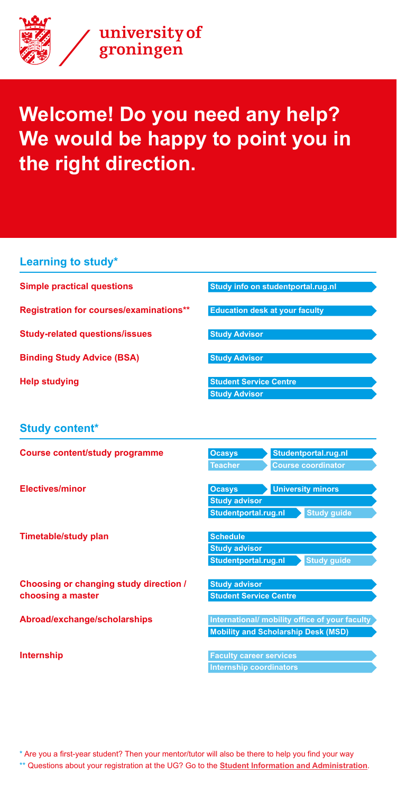**Learning to study\***

**Simple practical questions [Study info on studentportal.rug.nl](http://studentportal.rug.nl)**

**Registration for courses/examinations\*\* [Education desk at your faculty](https://www.rug.nl/education/contact/onderwijsadministraties)**

**FREED Studying The [Student Service Centre](https://student.portal.rug.nl/infonet/studenten/voorzieningen/studenten-service-centrum/workshops-courses-training/) [Study Advisor](https://www.rug.nl/education/contact/study-advisors/)**

**Study-related questions/issues [Study Advisor](https://www.rug.nl/education/contact/study-advisors/)**

**Binding Study Advice (BSA) Binding Study Advisor** 

**Choosing or changing study direction / [Study advisor](https://www.rug.nl/education/contact/study-advisors/) choosing a master <b>Student Service Centre CENTE** 

## **Study content\***

| <b>Course content/study programme</b> | <b>Ocasys</b>  | Studentportal.rug.nl     |
|---------------------------------------|----------------|--------------------------|
|                                       | <b>Teacher</b> | Course coordinator       |
| <b>Electives/minor</b>                | <b>Ocasys</b>  | <b>University minors</b> |

### **Timetable/study plan by a set of the [Schedule](https://rooster.rug.nl/)**

**Abroad/exchange/scholarships and international/ mobility office of your faculty [Mobility and Scholarship Desk \(MSD\)](https://www.rug.nl/education/contact/information-services/mobility-and-scholarship-desk?lang=en)**

**Internship Faculty career services Internship coordinators**

 **[Study advisor](https://www.rug.nl/education/contact/study-advisors/)**

**[Studentportal.rug.nl](http://studentportal.rug.nl) > Study guide** 

**[Study advisor](https://www.rug.nl/education/contact/study-advisors/)**

**[Studentportal.rug.nl](http://studentportal.rug.nl) > Study guide** 

\* Are you a first-year student? Then your mentor/tutor will also be there to help you find your way \*\* Questions about your registration at the UG? Go to the **[Student Information and Administration](https://www.rug.nl/education/contact/information-services/)**.



# **Welcome! Do you need any help? We would be happy to point you in the right direction.**